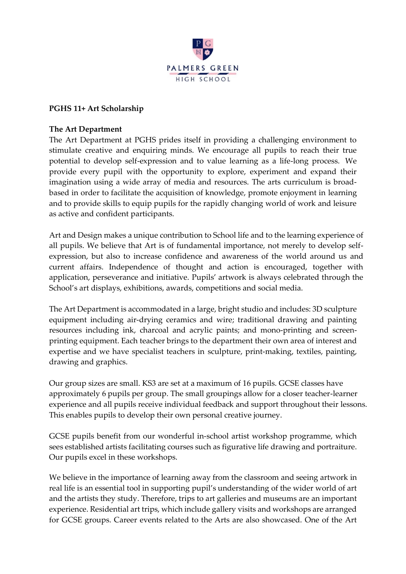

### **PGHS 11+ Art Scholarship**

### **The Art Department**

The Art Department at PGHS prides itself in providing a challenging environment to stimulate creative and enquiring minds. We encourage all pupils to reach their true potential to develop self-expression and to value learning as a life-long process. We provide every pupil with the opportunity to explore, experiment and expand their imagination using a wide array of media and resources. The arts curriculum is broadbased in order to facilitate the acquisition of knowledge, promote enjoyment in learning and to provide skills to equip pupils for the rapidly changing world of work and leisure as active and confident participants.

Art and Design makes a unique contribution to School life and to the learning experience of all pupils. We believe that Art is of fundamental importance, not merely to develop selfexpression, but also to increase confidence and awareness of the world around us and current affairs. Independence of thought and action is encouraged, together with application, perseverance and initiative. Pupils' artwork is always celebrated through the School's art displays, exhibitions, awards, competitions and social media.

The Art Department is accommodated in a large, bright studio and includes: 3D sculpture equipment including air-drying ceramics and wire; traditional drawing and painting resources including ink, charcoal and acrylic paints; and mono-printing and screenprinting equipment. Each teacher brings to the department their own area of interest and expertise and we have specialist teachers in sculpture, print-making, textiles, painting, drawing and graphics.

Our group sizes are small. KS3 are set at a maximum of 16 pupils. GCSE classes have approximately 6 pupils per group. The small groupings allow for a closer teacher-learner experience and all pupils receive individual feedback and support throughout their lessons. This enables pupils to develop their own personal creative journey.

GCSE pupils benefit from our wonderful in-school artist workshop programme, which sees established artists facilitating courses such as figurative life drawing and portraiture. Our pupils excel in these workshops.

We believe in the importance of learning away from the classroom and seeing artwork in real life is an essential tool in supporting pupil's understanding of the wider world of art and the artists they study. Therefore, trips to art galleries and museums are an important experience. Residential art trips, which include gallery visits and workshops are arranged for GCSE groups. Career events related to the Arts are also showcased. One of the Art